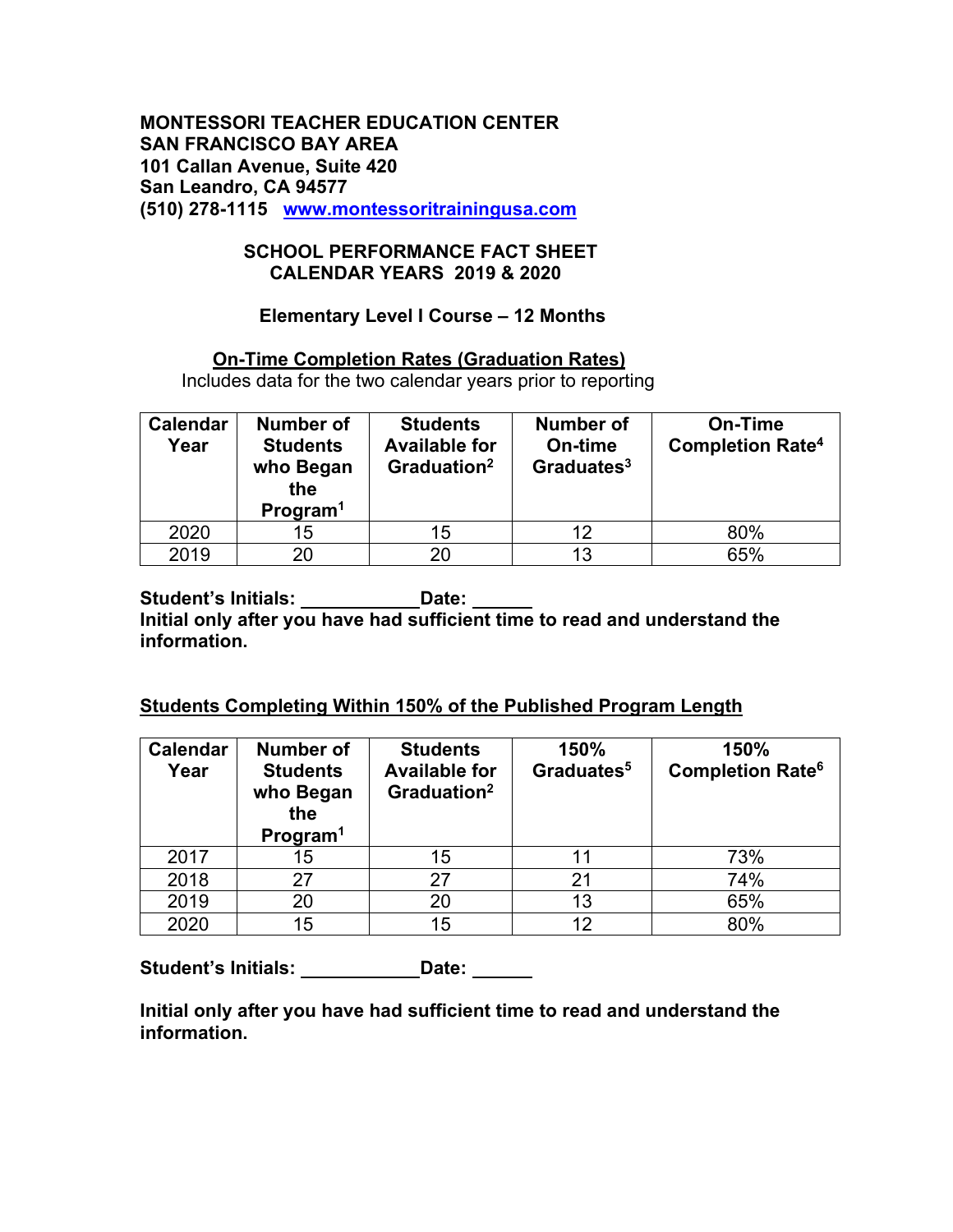## **SCHOOL PERFORMANCE FACT SHEET CALENDAR YEARS 2019 & 2020**

## **Elementary Level I Course – 12 Months**

## **On-Time Completion Rates (Graduation Rates)**

Includes data for the two calendar years prior to reporting

| <b>Calendar</b><br>Year | Number of<br><b>Students</b><br>who Began<br>the<br>Program <sup>1</sup> | <b>Students</b><br><b>Available for</b><br>Graduation <sup>2</sup> | <b>Number of</b><br>On-time<br>Graduates $3$ | On-Time<br><b>Completion Rate<sup>4</sup></b> |
|-------------------------|--------------------------------------------------------------------------|--------------------------------------------------------------------|----------------------------------------------|-----------------------------------------------|
| 2020                    | 15                                                                       | 15                                                                 |                                              | 80%                                           |
| 2019                    | 20                                                                       | 20                                                                 | 13                                           | 65%                                           |

Student's Initials: **Date: Date:** Date: **Initial only after you have had sufficient time to read and understand the information.**

## **Students Completing Within 150% of the Published Program Length**

| <b>Calendar</b><br>Year | <b>Number of</b><br><b>Students</b><br>who Began<br>the<br>Program <sup>1</sup> | <b>Students</b><br><b>Available for</b><br>Graduation <sup>2</sup> | 150%<br>Graduates <sup>5</sup> | 150%<br><b>Completion Rate<sup>6</sup></b> |
|-------------------------|---------------------------------------------------------------------------------|--------------------------------------------------------------------|--------------------------------|--------------------------------------------|
| 2017                    | 15                                                                              | 15                                                                 |                                | 73%                                        |
| 2018                    | 27                                                                              | 27                                                                 | 21                             | 74%                                        |
| 2019                    | 20                                                                              | 20                                                                 | 13                             | 65%                                        |
| 2020                    | 15                                                                              | 15                                                                 | 12                             | 80%                                        |

**Student's Initials: \_\_\_\_\_\_\_\_\_\_\_\_Date: \_\_\_\_\_\_** 

**Initial only after you have had sufficient time to read and understand the information.**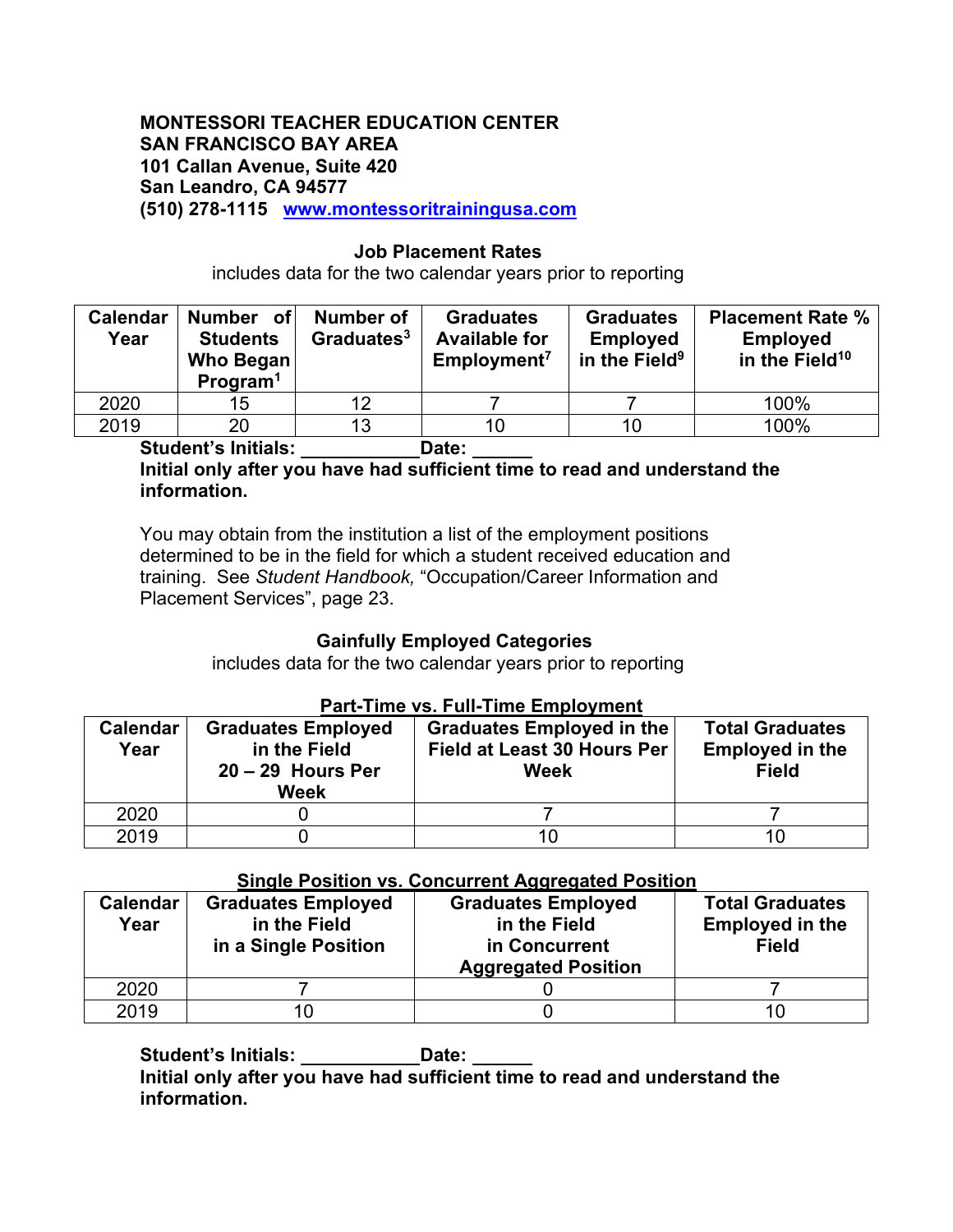### **Job Placement Rates**

includes data for the two calendar years prior to reporting

| <b>Calendar</b><br>Year  | Number of<br><b>Students</b><br><b>Who Began</b><br>Program <sup>1</sup> | Number of<br>Graduates <sup>3</sup> | <b>Graduates</b><br><b>Available for</b><br>Employment <sup>7</sup> | <b>Graduates</b><br><b>Employed</b><br>in the Field <sup>9</sup> | <b>Placement Rate %</b><br><b>Employed</b><br>in the Field <sup>10</sup> |
|--------------------------|--------------------------------------------------------------------------|-------------------------------------|---------------------------------------------------------------------|------------------------------------------------------------------|--------------------------------------------------------------------------|
| 2020                     | 15                                                                       | 12                                  |                                                                     |                                                                  | 100%                                                                     |
| 2019                     | 20                                                                       | 13                                  | 10                                                                  | 10                                                               | 100%                                                                     |
| $\bullet\cdot\cdot\cdot$ | .                                                                        |                                     | - -                                                                 |                                                                  |                                                                          |

**Student's Initials: Date:** 

## **Initial only after you have had sufficient time to read and understand the information.**

You may obtain from the institution a list of the employment positions determined to be in the field for which a student received education and training. See *Student Handbook,* "Occupation/Career Information and Placement Services", page 23.

## **Gainfully Employed Categories**

includes data for the two calendar years prior to reporting

### **Part-Time vs. Full-Time Employment**

| <b>Calendar</b><br>Year | <b>Graduates Employed</b><br>in the Field<br>$20 - 29$ Hours Per<br>Week | <b>Graduates Employed in the</b><br><b>Field at Least 30 Hours Per</b><br>Week | <b>Total Graduates</b><br><b>Employed in the</b><br><b>Field</b> |
|-------------------------|--------------------------------------------------------------------------|--------------------------------------------------------------------------------|------------------------------------------------------------------|
| 2020                    |                                                                          |                                                                                |                                                                  |
| 2019                    |                                                                          | 10                                                                             | 10                                                               |

## **Single Position vs. Concurrent Aggregated Position**

| <b>Calendar</b><br>Year | <b>Graduates Employed</b><br>in the Field<br>in a Single Position | <b>Graduates Employed</b><br>in the Field<br>in Concurrent<br><b>Aggregated Position</b> | <b>Total Graduates</b><br><b>Employed in the</b><br><b>Field</b> |
|-------------------------|-------------------------------------------------------------------|------------------------------------------------------------------------------------------|------------------------------------------------------------------|
| 2020                    |                                                                   |                                                                                          |                                                                  |
| 2019                    |                                                                   |                                                                                          |                                                                  |

**Student's Initials: Date:** 

**Initial only after you have had sufficient time to read and understand the information.**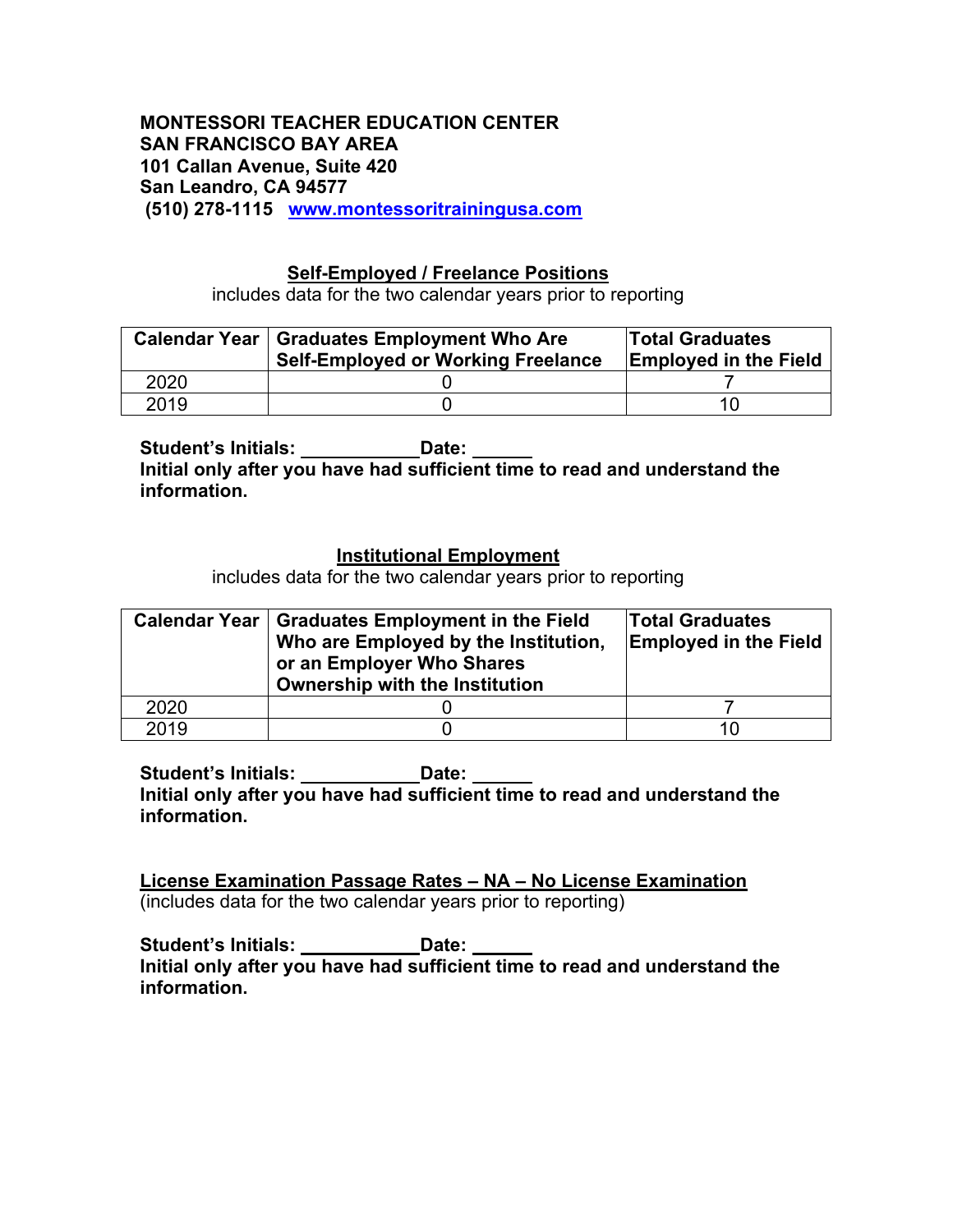## **Self-Employed / Freelance Positions**

includes data for the two calendar years prior to reporting

|      | Calendar Year   Graduates Employment Who Are<br><b>Self-Employed or Working Freelance</b> | <b>Total Graduates</b><br><b>Employed in the Field</b> |  |  |
|------|-------------------------------------------------------------------------------------------|--------------------------------------------------------|--|--|
| 2020 |                                                                                           |                                                        |  |  |
| 2019 |                                                                                           | 10.                                                    |  |  |

**Student's Initials: Date: Initial only after you have had sufficient time to read and understand the information.**

## **Institutional Employment**

includes data for the two calendar years prior to reporting

|      | Calendar Year   Graduates Employment in the Field<br>Who are Employed by the Institution,<br>or an Employer Who Shares<br>Ownership with the Institution | <b>Total Graduates</b><br><b>Employed in the Field</b> |
|------|----------------------------------------------------------------------------------------------------------------------------------------------------------|--------------------------------------------------------|
| 2020 |                                                                                                                                                          |                                                        |
| 2019 |                                                                                                                                                          | 10                                                     |

**Student's Initials: Date: Initial only after you have had sufficient time to read and understand the information.**

**License Examination Passage Rates – NA – No License Examination** (includes data for the two calendar years prior to reporting)

Student's Initials: **Date:** Date: **Initial only after you have had sufficient time to read and understand the information.**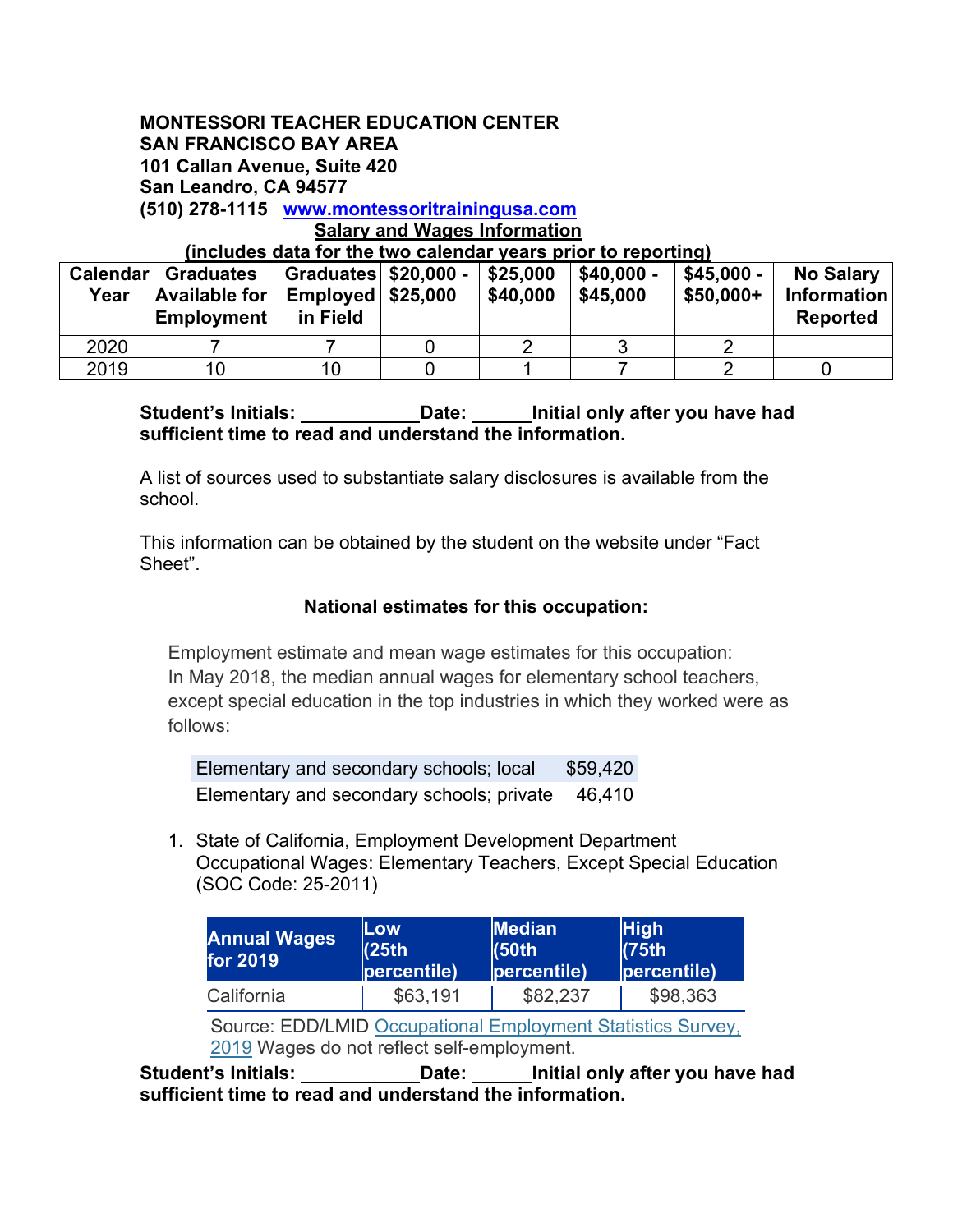#### **(includes data for the two calendar years prior to reporting)**

| Calendar<br>Year | Graduates<br>Available for<br>Employment | Employd   \$25,000<br>in Field | \$25,000<br>\$40.000 | $$40.000 -$<br>\$45,000 | \$45.000 -<br>$$50,000+$ | <b>No Salary</b><br><b>Information</b><br><b>Reported</b> |
|------------------|------------------------------------------|--------------------------------|----------------------|-------------------------|--------------------------|-----------------------------------------------------------|
| 2020             |                                          |                                |                      |                         |                          |                                                           |
| 2019             | 10                                       | 10                             |                      |                         |                          |                                                           |

## **Student's Initials: Date: Initial only after you have had sufficient time to read and understand the information.**

A list of sources used to substantiate salary disclosures is available from the school.

This information can be obtained by the student on the website under "Fact Sheet".

### **National estimates for this occupation:**

Employment estimate and mean wage estimates for this occupation: In May 2018, the median annual wages for elementary school teachers, except special education in the top industries in which they worked were as follows:

Elementary and secondary schools; local \$59,420 Elementary and secondary schools; private 46,410

1. State of California, Employment Development Department Occupational Wages: Elementary Teachers, Except Special Education (SOC Code: 25-2011)

| <b>Annual Wages</b><br>for 2019                                                                           | Low<br>(25th)<br>percentile) | <b>Median</b><br>(50th)<br>percentile) | <b>High</b><br>(75th)<br>percentile) |  |  |  |  |
|-----------------------------------------------------------------------------------------------------------|------------------------------|----------------------------------------|--------------------------------------|--|--|--|--|
| California                                                                                                | \$63,191                     | \$82,237                               | \$98,363                             |  |  |  |  |
| Source: EDD/LMID Occupational Employment Statistics Survey,<br>2019 Wages do not reflect self-employment. |                              |                                        |                                      |  |  |  |  |

**Student's Initials: Date: Initial only after you have had sufficient time to read and understand the information.**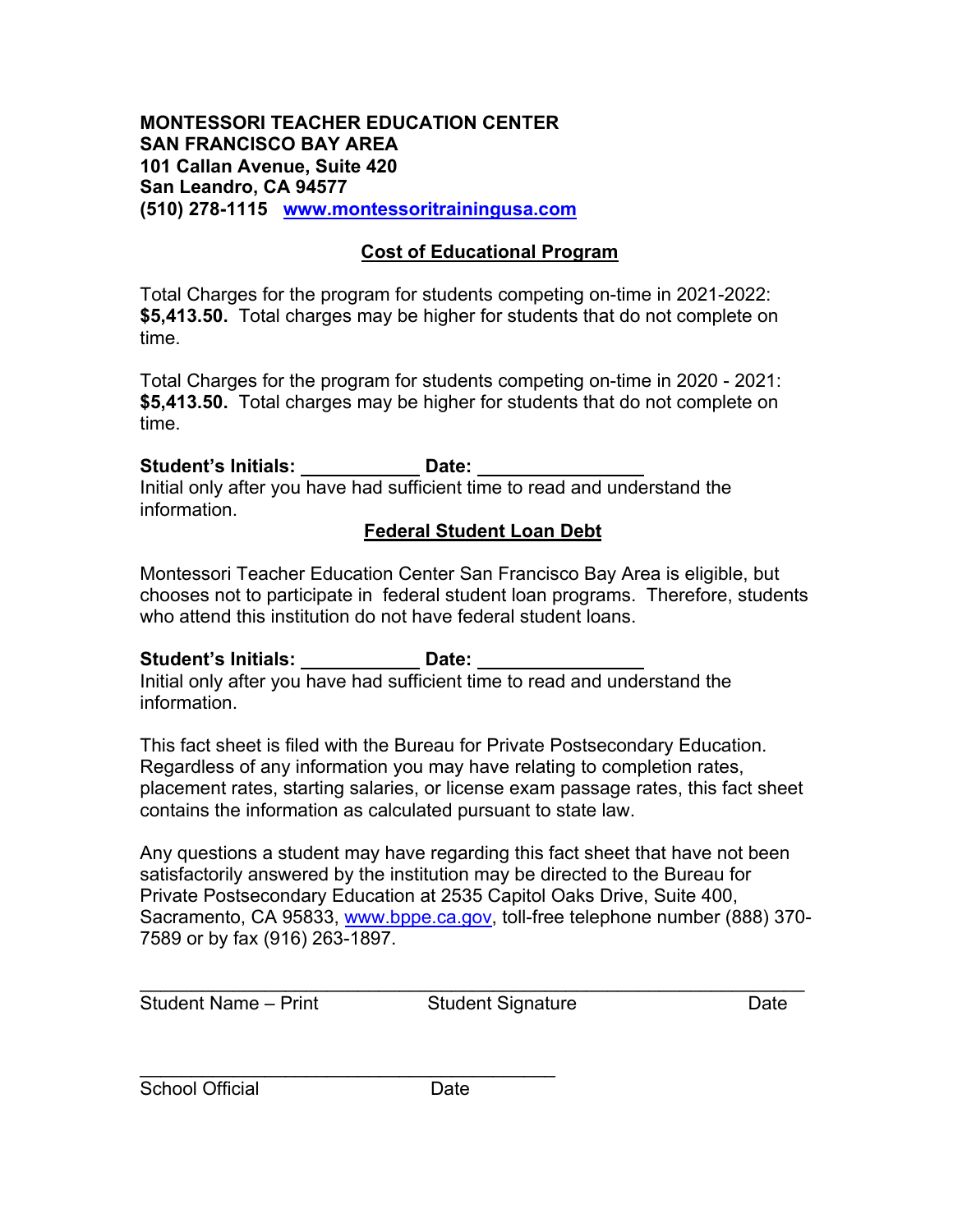## **Cost of Educational Program**

Total Charges for the program for students competing on-time in 2021-2022: **\$5,413.50.** Total charges may be higher for students that do not complete on time.

Total Charges for the program for students competing on-time in 2020 - 2021: **\$5,413.50.** Total charges may be higher for students that do not complete on time.

**Student's Initials: Date:**  Initial only after you have had sufficient time to read and understand the information.

## **Federal Student Loan Debt**

Montessori Teacher Education Center San Francisco Bay Area is eligible, but chooses not to participate in federal student loan programs. Therefore, students who attend this institution do not have federal student loans.

## **Student's Initials: Date:**

Initial only after you have had sufficient time to read and understand the information.

This fact sheet is filed with the Bureau for Private Postsecondary Education. Regardless of any information you may have relating to completion rates, placement rates, starting salaries, or license exam passage rates, this fact sheet contains the information as calculated pursuant to state law.

Any questions a student may have regarding this fact sheet that have not been satisfactorily answered by the institution may be directed to the Bureau for Private Postsecondary Education at 2535 Capitol Oaks Drive, Suite 400, Sacramento, CA 95833, www.bppe.ca.gov, toll-free telephone number (888) 370- 7589 or by fax (916) 263-1897.

\_\_\_\_\_\_\_\_\_\_\_\_\_\_\_\_\_\_\_\_\_\_\_\_\_\_\_\_\_\_\_\_\_\_\_\_\_\_\_\_\_\_\_\_\_\_\_\_\_\_\_\_\_\_\_\_\_\_\_\_\_\_\_\_ Student Name – Print Student Signature Date

 $\overline{\phantom{a}}$  , and the set of the set of the set of the set of the set of the set of the set of the set of the set of the set of the set of the set of the set of the set of the set of the set of the set of the set of the s School Official **Date**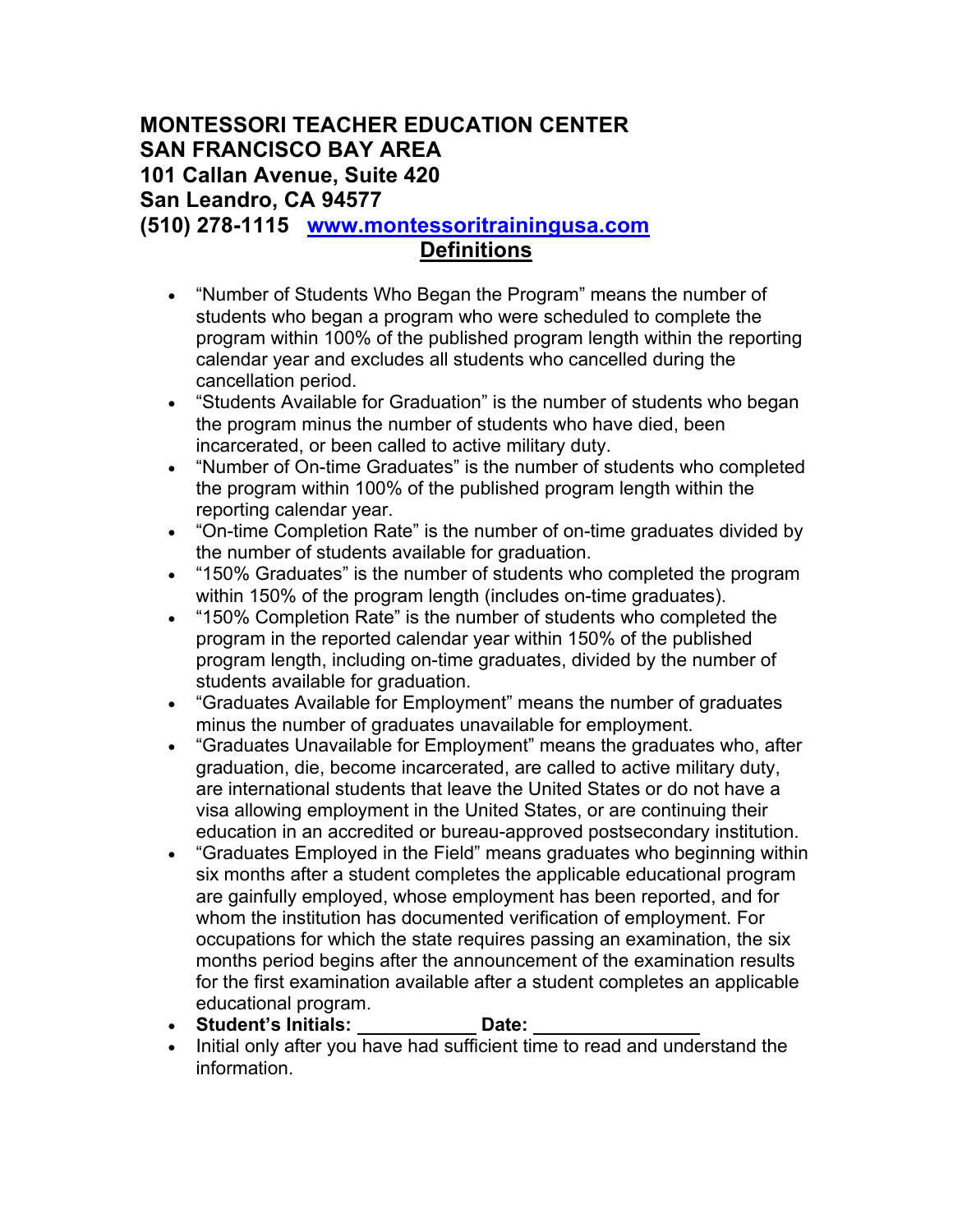# **MONTESSORI TEACHER EDUCATION CENTER SAN FRANCISCO BAY AREA 101 Callan Avenue, Suite 420 San Leandro, CA 94577**

**(510) 278-1115 www.montessoritrainingusa.com**

# **Definitions**

- "Number of Students Who Began the Program" means the number of students who began a program who were scheduled to complete the program within 100% of the published program length within the reporting calendar year and excludes all students who cancelled during the cancellation period.
- "Students Available for Graduation" is the number of students who began the program minus the number of students who have died, been incarcerated, or been called to active military duty.
- "Number of On-time Graduates" is the number of students who completed the program within 100% of the published program length within the reporting calendar year.
- "On-time Completion Rate" is the number of on-time graduates divided by the number of students available for graduation.
- "150% Graduates" is the number of students who completed the program within 150% of the program length (includes on-time graduates).
- "150% Completion Rate" is the number of students who completed the program in the reported calendar year within 150% of the published program length, including on-time graduates, divided by the number of students available for graduation.
- "Graduates Available for Employment" means the number of graduates minus the number of graduates unavailable for employment.
- "Graduates Unavailable for Employment" means the graduates who, after graduation, die, become incarcerated, are called to active military duty, are international students that leave the United States or do not have a visa allowing employment in the United States, or are continuing their education in an accredited or bureau-approved postsecondary institution.
- "Graduates Employed in the Field" means graduates who beginning within six months after a student completes the applicable educational program are gainfully employed, whose employment has been reported, and for whom the institution has documented verification of employment. For occupations for which the state requires passing an examination, the six months period begins after the announcement of the examination results for the first examination available after a student completes an applicable educational program.
- **Student's Initials: Date:**
- Initial only after you have had sufficient time to read and understand the information.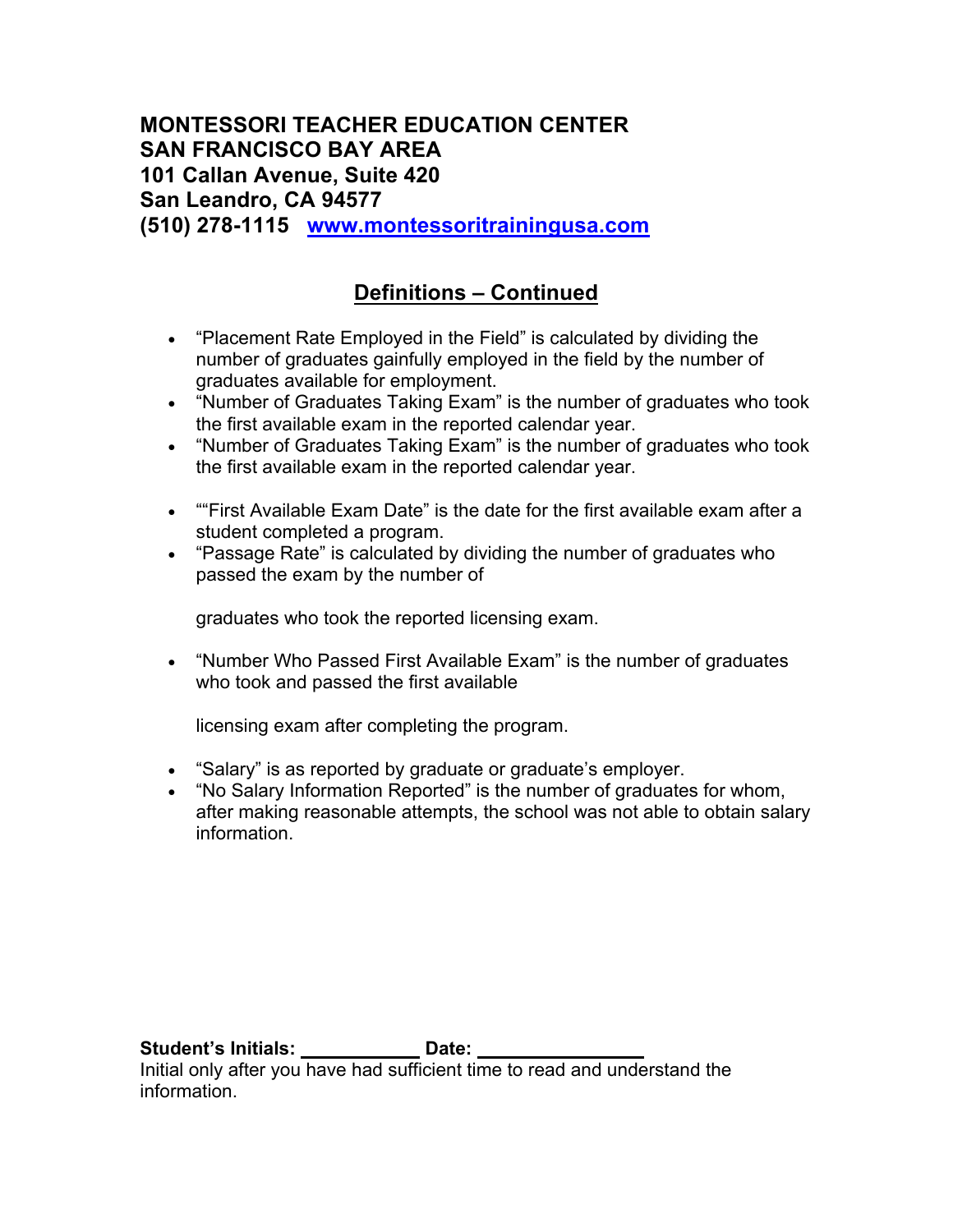# **Definitions – Continued**

- "Placement Rate Employed in the Field" is calculated by dividing the number of graduates gainfully employed in the field by the number of graduates available for employment.
- "Number of Graduates Taking Exam" is the number of graduates who took the first available exam in the reported calendar year.
- "Number of Graduates Taking Exam" is the number of graduates who took the first available exam in the reported calendar year.
- ""First Available Exam Date" is the date for the first available exam after a student completed a program.
- "Passage Rate" is calculated by dividing the number of graduates who passed the exam by the number of

graduates who took the reported licensing exam.

• "Number Who Passed First Available Exam" is the number of graduates who took and passed the first available

licensing exam after completing the program.

- "Salary" is as reported by graduate or graduate's employer.
- "No Salary Information Reported" is the number of graduates for whom, after making reasonable attempts, the school was not able to obtain salary information.

**Student's Initials: Date: Date:** 

Initial only after you have had sufficient time to read and understand the information.